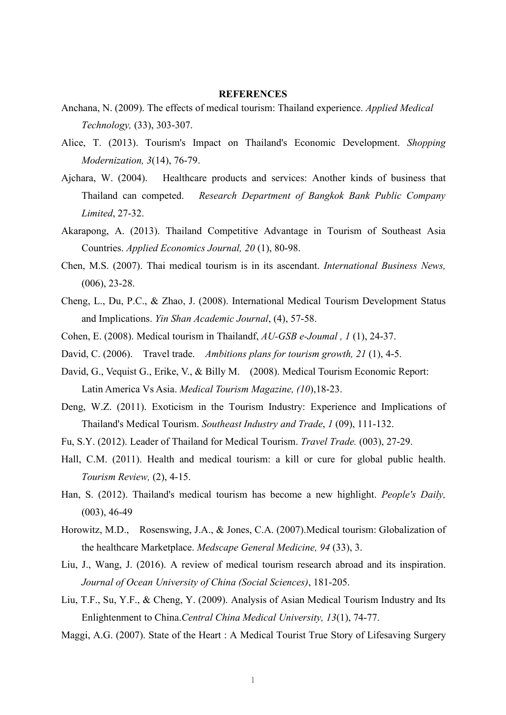## **REFERENCES**

- Anchana, N. (2009). The effects of medical tourism: Thailand experience. *Applied Medical Technology,* (33), 303-307.
- Alice, T. (2013). Tourism's Impact on Thailand's Economic Development. *Shopping Modernization, 3*(14), 76-79.
- Ajchara, W. (2004). Healthcare products and services: Another kinds of business that Thailand can competed. *Research Department of Bangkok Bank Public Company Limited*, 27-32.
- Akarapong, A. (2013). Thailand Competitive Advantage in Tourism of Southeast Asia Countries. *Applied Economics Journal, 20* (1), 80-98.
- Chen, M.S. (2007). Thai medical tourism is in its ascendant. *International Business News,* (006), 23-28.
- Cheng, L., Du, P.C., & Zhao, J. (2008). International Medical Tourism Development Status and Implications. *Yin Shan Academic Journal*, (4), 57-58.
- Cohen, E. (2008). Medical tourism in Thailandf, *AU-GSB e-Joumal ,1* (1),24-37.
- David, C. (2006). Travel trade. *Ambitions plans for tourism growth, 21* (1), 4-5.
- David, G., Vequist G., Erike, V., & Billy M. (2008). Medical Tourism Economic Report: Latin America Vs Asia. *Medical Tourism Magazine, (10*),18-23.
- Deng, W.Z. (2011). Exoticism in the Tourism Industry: Experience and Implications of Thailand's Medical Tourism. *Southeast Industry and Trade*, *1* (09), 111-132.
- Fu, S.Y. (2012). Leader of Thailand for Medical Tourism. *Travel Trade.* (003), 27-29.
- Hall, C.M. (2011). Health and medical tourism: a kill or cure for global public health. *Tourism Review,* (2), 4-15.
- Han, S. (2012). Thailand's medical tourism has become a new highlight. *People's Daily,* (003), 46-49
- Horowitz, M.D., Rosenswing, J.A., & Jones, C.A. (2007).Medical tourism: Globalization of the healthcare Marketplace. *Medscape General Medicine, 94* (33), 3.
- Liu, J., Wang, J. (2016). A review of medical tourism research abroad and its inspiration. *Journal of Ocean University of China (Social Sciences)*, 181-205.
- Liu, T.F., Su, Y.F., & Cheng, Y. (2009). Analysis of Asian Medical Tourism Industry and Its Enlightenment to China.*Central China Medical University, 13*(1), 74-77.
- Maggi, A.G. (2007). State of the Heart : A Medical Tourist True Story of Lifesaving Surgery